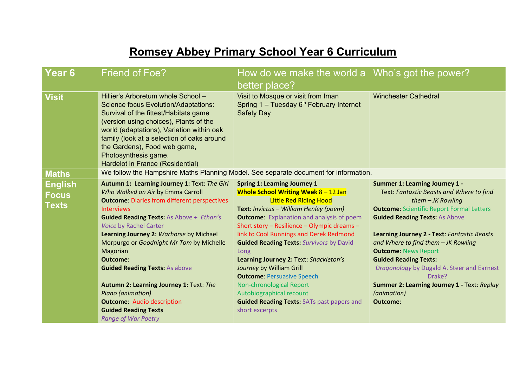# **Romsey Abbey Primary School Year 6 Curriculum**

| Year <sub>6</sub>                | <b>Friend of Foe?</b>                                                                                                                                                                                                                                                                                                                                                                                                                                                                                                                                                | How do we make the world a Who's got the power?<br>better place?                                                                                                                                                                                                                                                                                                                                                                                                                                                                                                                                                        |                                                                                                                                                                                                                                                                                                                                                                                                                                                                                             |
|----------------------------------|----------------------------------------------------------------------------------------------------------------------------------------------------------------------------------------------------------------------------------------------------------------------------------------------------------------------------------------------------------------------------------------------------------------------------------------------------------------------------------------------------------------------------------------------------------------------|-------------------------------------------------------------------------------------------------------------------------------------------------------------------------------------------------------------------------------------------------------------------------------------------------------------------------------------------------------------------------------------------------------------------------------------------------------------------------------------------------------------------------------------------------------------------------------------------------------------------------|---------------------------------------------------------------------------------------------------------------------------------------------------------------------------------------------------------------------------------------------------------------------------------------------------------------------------------------------------------------------------------------------------------------------------------------------------------------------------------------------|
| <b>Visit</b>                     | Hillier's Arboretum whole School -<br><b>Science focus Evolution/Adaptations:</b><br>Survival of the fittest/Habitats game<br>(version using choices), Plants of the<br>world (adaptations), Variation within oak<br>family (look at a selection of oaks around<br>the Gardens), Food web game,<br>Photosynthesis game.<br>Hardelot in France (Residential)                                                                                                                                                                                                          | Visit to Mosque or visit from Iman<br>Spring $1 -$ Tuesday $6th$ February Internet<br><b>Safety Day</b>                                                                                                                                                                                                                                                                                                                                                                                                                                                                                                                 | <b>Winchester Cathedral</b>                                                                                                                                                                                                                                                                                                                                                                                                                                                                 |
| <b>Maths</b>                     |                                                                                                                                                                                                                                                                                                                                                                                                                                                                                                                                                                      | We follow the Hampshire Maths Planning Model. See separate document for information.                                                                                                                                                                                                                                                                                                                                                                                                                                                                                                                                    |                                                                                                                                                                                                                                                                                                                                                                                                                                                                                             |
| English<br><b>Focus</b><br>Texts | Autumn 1: Learning Journey 1: Text: The Girl<br>Who Walked on Air by Emma Carroll<br><b>Outcome: Diaries from different perspectives</b><br><b>Interviews</b><br><b>Guided Reading Texts: As Above + Ethan's</b><br>Voice by Rachel Carter<br>Learning Journey 2: Warhorse by Michael<br>Morpurgo or Goodnight Mr Tom by Michelle<br>Magorian<br>Outcome:<br><b>Guided Reading Texts: As above</b><br>Autumn 2: Learning Journey 1: Text: The<br>Piano (animation)<br><b>Outcome:</b> Audio description<br><b>Guided Reading Texts</b><br><b>Range of War Poetry</b> | <b>Spring 1: Learning Journey 1</b><br><b>Whole School Writing Week 8 - 12 Jan</b><br><b>Little Red Riding Hood</b><br>Text: Invictus - William Henley (poem)<br><b>Outcome:</b> Explanation and analysis of poem<br>Short story - Resilience - Olympic dreams -<br>link to Cool Runnings and Derek Redmond<br><b>Guided Reading Texts: Survivors by David</b><br>Long<br>Learning Journey 2: Text: Shackleton's<br>Journey by William Grill<br><b>Outcome: Persuasive Speech</b><br><b>Non-chronological Report</b><br>Autobiographical recount<br><b>Guided Reading Texts: SATs past papers and</b><br>short excerpts | <b>Summer 1: Learning Journey 1 -</b><br>Text: Fantastic Beasts and Where to find<br>them $-JK$ Rowling<br><b>Outcome: Scientific Report Formal Letters</b><br><b>Guided Reading Texts: As Above</b><br>Learning Journey 2 - Text: Fantastic Beasts<br>and Where to find them - JK Rowling<br><b>Outcome: News Report</b><br><b>Guided Reading Texts:</b><br>Dragonology by Dugald A. Steer and Earnest<br>Drake?<br>Summer 2: Learning Journey 1 - Text: Replay<br>(animation)<br>Outcome: |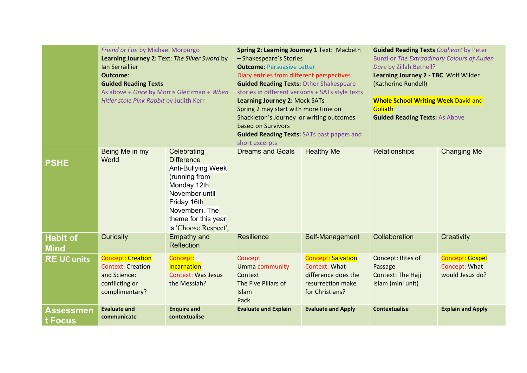|                                | Friend or Foe by Michael Morpurgo<br>Learning Journey 2: Text: The Silver Sword by<br>Ian Serraillier<br>Outcome:<br><b>Guided Reading Texts</b><br>As above + Once by Morris Gleitzman + When<br>Hitler stole Pink Rabbit by Judith Kerr |                                                                                                                                                                                                 | Spring 2: Learning Journey 1 Text: Macbeth<br>- Shakespeare's Stories<br><b>Outcome: Persuasive Letter</b><br>Diary entries from different perspectives<br><b>Guided Reading Texts: Other Shakespeare</b><br>stories in different versions + SATs style texts<br><b>Learning Journey 2: Mock SATs</b><br>Spring 2 may start with more time on<br>Shackleton's Journey or writing outcomes<br>based on Survivors<br><b>Guided Reading Texts: SATs past papers and</b><br>short excerpts |                                                                                                                                               | <b>Guided Reading Texts Cogheart by Peter</b><br><b>Bunzl or The Extraodinary Colours of Auden</b><br>Dare by Zillah Bethell?<br>Learning Journey 2 - TBC Wolf Wilder<br>(Katherine Rundell)<br><b>Whole School Writing Week David and</b><br>Goliath<br><b>Guided Reading Texts: As Above</b> |                                                                                        |
|--------------------------------|-------------------------------------------------------------------------------------------------------------------------------------------------------------------------------------------------------------------------------------------|-------------------------------------------------------------------------------------------------------------------------------------------------------------------------------------------------|----------------------------------------------------------------------------------------------------------------------------------------------------------------------------------------------------------------------------------------------------------------------------------------------------------------------------------------------------------------------------------------------------------------------------------------------------------------------------------------|-----------------------------------------------------------------------------------------------------------------------------------------------|------------------------------------------------------------------------------------------------------------------------------------------------------------------------------------------------------------------------------------------------------------------------------------------------|----------------------------------------------------------------------------------------|
| <b>PSHE</b>                    | Being Me in my<br>World                                                                                                                                                                                                                   | Celebrating<br><b>Difference</b><br><b>Anti-Bullying Week</b><br>(running from<br>Monday 12th<br>November until<br>Friday 16th<br>November). The<br>theme for this year<br>is 'Choose Respect', | <b>Dreams and Goals</b>                                                                                                                                                                                                                                                                                                                                                                                                                                                                | <b>Healthy Me</b>                                                                                                                             | <b>Relationships</b>                                                                                                                                                                                                                                                                           | <b>Changing Me</b>                                                                     |
| <b>Habit of</b><br><b>Mind</b> | Curiosity                                                                                                                                                                                                                                 | <b>Empathy and</b><br><b>Reflection</b>                                                                                                                                                         | <b>Resilience</b>                                                                                                                                                                                                                                                                                                                                                                                                                                                                      | Self-Management                                                                                                                               | Collaboration                                                                                                                                                                                                                                                                                  | Creativity                                                                             |
| <b>RE UC units</b>             | <b>Concept: Creation</b><br><b>Context: Creation</b><br>and Science:<br>conflicting or<br>complimentary?<br><b>Evaluate and</b>                                                                                                           | Concept:<br>Incarnation<br><b>Context: Was Jesus</b><br>the Messiah?<br><b>Enquire and</b>                                                                                                      | Concept<br>Umma community<br>Context<br>The Five Pillars of<br>Islam<br>Pack                                                                                                                                                                                                                                                                                                                                                                                                           | <b>Concept: Salvation</b><br><b>Context: What</b><br>difference does the<br>resurrection make<br>for Christians?<br><b>Evaluate and Apply</b> | Concept: Rites of<br>Passage<br>Context: The Hajj<br>Islam (mini unit)<br><b>Contextualise</b>                                                                                                                                                                                                 | <b>Concept: Gospel</b><br>Concept: What<br>would Jesus do?<br><b>Explain and Apply</b> |
| Assessmen<br>t Focus           | communicate                                                                                                                                                                                                                               | contextualise                                                                                                                                                                                   | <b>Evaluate and Explain</b>                                                                                                                                                                                                                                                                                                                                                                                                                                                            |                                                                                                                                               |                                                                                                                                                                                                                                                                                                |                                                                                        |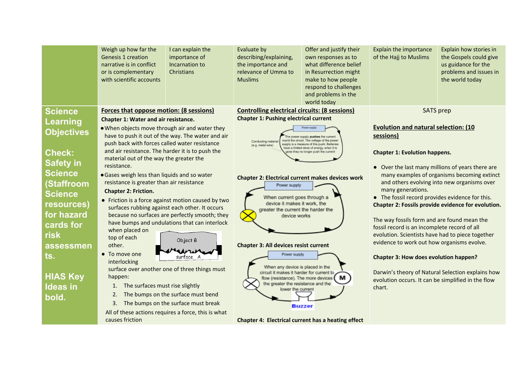|                   | Weigh up how far the<br><b>Genesis 1 creation</b><br>narrative is in conflict<br>or is complementary<br>with scientific accounts | I can explain the<br>importance of<br>Incarnation to<br><b>Christians</b> | Evaluate by<br>describing/explaining,<br>the importance and<br>relevance of Umma to<br><b>Muslims</b>  | Offer and justify their<br>own responses as to<br>what difference belief<br>in Resurrection might<br>make to how people<br>respond to challenges<br>and problems in the<br>world today | Explain the importance<br>of the Hajj to Muslims                                                      | Explain how stories in<br>the Gospels could give<br>us guidance for the<br>problems and issues in<br>the world today |  |
|-------------------|----------------------------------------------------------------------------------------------------------------------------------|---------------------------------------------------------------------------|--------------------------------------------------------------------------------------------------------|----------------------------------------------------------------------------------------------------------------------------------------------------------------------------------------|-------------------------------------------------------------------------------------------------------|----------------------------------------------------------------------------------------------------------------------|--|
| <b>Science</b>    | <b>Forces that oppose motion: (8 sessions)</b>                                                                                   |                                                                           | <b>Controlling electrical circuits: (8 sessions)</b>                                                   |                                                                                                                                                                                        | <b>SATS</b> prep                                                                                      |                                                                                                                      |  |
| <b>Learning</b>   | Chapter 1: Water and air resistance.                                                                                             |                                                                           | <b>Chapter 1: Pushing electrical current</b>                                                           |                                                                                                                                                                                        |                                                                                                       |                                                                                                                      |  |
| <b>Objectives</b> | . When objects move through air and water they                                                                                   |                                                                           |                                                                                                        |                                                                                                                                                                                        | <b>Evolution and natural selection: (10)</b>                                                          |                                                                                                                      |  |
|                   | push back with forces called water resistance                                                                                    | have to push it out of the way. The water and air                         | Conducting materia                                                                                     | power supply pushes the current<br>round the circuit. The voltage of the power<br>supply is a measure of this push. Batteries                                                          |                                                                                                       | sessions)                                                                                                            |  |
| <b>Check:</b>     | and air resistance. The harder it is to push the                                                                                 |                                                                           | (e.g. metal wire)<br>have a limited store of energy, when it is<br>one they no longer push the current |                                                                                                                                                                                        | <b>Chapter 1: Evolution happens.</b>                                                                  |                                                                                                                      |  |
| <b>Safety in</b>  | material out of the way the greater the<br>resistance.                                                                           |                                                                           |                                                                                                        |                                                                                                                                                                                        |                                                                                                       |                                                                                                                      |  |
| <b>Science</b>    | • Gases weigh less than liquids and so water                                                                                     |                                                                           |                                                                                                        |                                                                                                                                                                                        | • Over the last many millions of years there are<br>many examples of organisms becoming extinct       |                                                                                                                      |  |
| (Staffroom        | resistance is greater than air resistance                                                                                        |                                                                           | <b>Chapter 2: Electrical current makes devices work</b><br>Power supply<br>When current goes through a |                                                                                                                                                                                        | and others evolving into new organisms over<br>many generations.                                      |                                                                                                                      |  |
| <b>Science</b>    | <b>Chapter 2: Friction.</b>                                                                                                      |                                                                           |                                                                                                        |                                                                                                                                                                                        |                                                                                                       |                                                                                                                      |  |
| resources)        | • Friction is a force against motion caused by two<br>surfaces rubbing against each other. It occurs                             |                                                                           | device it makes it work, the<br>greater the current the harder the<br>device works                     |                                                                                                                                                                                        | • The fossil record provides evidence for this.<br>Chapter 2: Fossils provide evidence for evolution. |                                                                                                                      |  |
| for hazard        | because no surfaces are perfectly smooth; they                                                                                   |                                                                           |                                                                                                        |                                                                                                                                                                                        |                                                                                                       |                                                                                                                      |  |
| cards for         |                                                                                                                                  | have bumps and undulations that can interlock                             |                                                                                                        |                                                                                                                                                                                        | The way fossils form and are found mean the                                                           |                                                                                                                      |  |
| <b>risk</b>       | when placed on                                                                                                                   |                                                                           |                                                                                                        |                                                                                                                                                                                        | fossil record is an incomplete record of all<br>evolution. Scientists have had to piece together      |                                                                                                                      |  |
| assessmen         | top of each<br>Object B<br>other.<br>$\sum$<br>• To move one<br>surface A                                                        |                                                                           | <b>Chapter 3: All devices resist current</b>                                                           |                                                                                                                                                                                        | evidence to work out how organisms evolve.                                                            |                                                                                                                      |  |
| ts.               |                                                                                                                                  |                                                                           | Power supply                                                                                           |                                                                                                                                                                                        | <b>Chapter 3: How does evolution happen?</b>                                                          |                                                                                                                      |  |
|                   | interlocking                                                                                                                     |                                                                           | When any device is placed in the                                                                       |                                                                                                                                                                                        |                                                                                                       |                                                                                                                      |  |
| <b>HIAS Key</b>   | happen:                                                                                                                          | surface over another one of three things must                             | circuit it makes it harder for current to<br>flow (resistance). The more devices                       | M                                                                                                                                                                                      | Darwin's theory of Natural Selection explains how                                                     |                                                                                                                      |  |
| <b>Ideas in</b>   | The surfaces must rise slightly<br>1.                                                                                            |                                                                           | the greater the resistance and the                                                                     |                                                                                                                                                                                        | evolution occurs. It can be simplified in the flow<br>chart.                                          |                                                                                                                      |  |
| bold.             | 2.                                                                                                                               | The bumps on the surface must bend                                        | lower the current                                                                                      |                                                                                                                                                                                        |                                                                                                       |                                                                                                                      |  |
|                   | 3.                                                                                                                               | The bumps on the surface must break                                       |                                                                                                        | <b>Buzzer</b>                                                                                                                                                                          |                                                                                                       |                                                                                                                      |  |
|                   | causes friction                                                                                                                  | All of these actions requires a force, this is what                       | <b>Chapter 4: Electrical current has a heating effect</b>                                              |                                                                                                                                                                                        |                                                                                                       |                                                                                                                      |  |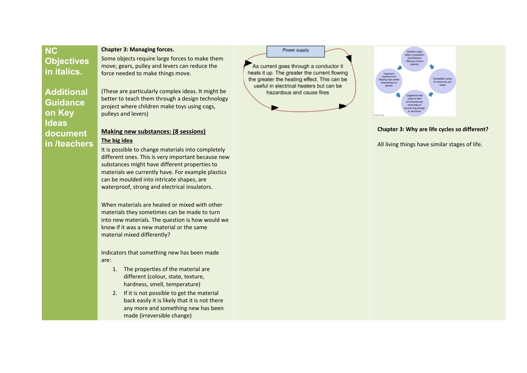## **N C Objectives i n i t a l i c s .**

**o n K e y ldeas** 

document in /teachers

#### Chapter 3: Managing forces.

Some objects require large forces to make them move; gears, pulley and levers can reduce the force needed to make things move.

**Additional Guidance** (These are particularly complex ideas. It might be better to teach them through a design technology project where children make toys using cogs, pulleys and levers)

### **Making new substances: (8 sessions) T h e b i g i d e a**

It is possible to change materials into completely different ones. This is very important because new substances might have different properties to materials we currently have. For example plastics can be moulded into intricate shapes, are waterproof, strong and electrical insulators.

When materials are heated or mixed with other materials they sometimes can be made to turn into new materials. The question is how would w e know if it was a new material or the same material mixed differently?

Indicators that something new has been made a r e:

- 1. The properties of the material are different (colour, state, texture, hardness, smell, temperature)
- 2. If it is not possible to get the material back easily it is likely that it is not there any more and something new has been made (irreversible change)

Power supply As current goes through a conductor it heats it up. The greater the current flowing the greater the heating effect. This can be

useful in electrical heaters but can be hazardous and cause fires



#### Chapter 3: Why are life cycles so different?

All living things have similar stages of life.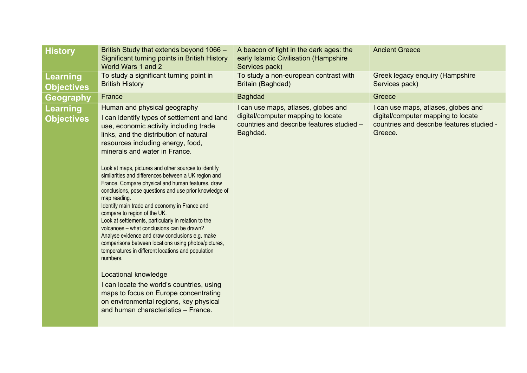| <b>History</b>                       | British Study that extends beyond 1066 -<br>Significant turning points in British History<br>World Wars 1 and 2                                                                                                                                                                                                                                                                                                                                                                                                                                                                                                                                                                                                                                                                                                                                                                                                                                                                                                                                         | A beacon of light in the dark ages: the<br>early Islamic Civilisation (Hampshire<br>Services pack)                                 | <b>Ancient Greece</b>                                                                                                             |
|--------------------------------------|---------------------------------------------------------------------------------------------------------------------------------------------------------------------------------------------------------------------------------------------------------------------------------------------------------------------------------------------------------------------------------------------------------------------------------------------------------------------------------------------------------------------------------------------------------------------------------------------------------------------------------------------------------------------------------------------------------------------------------------------------------------------------------------------------------------------------------------------------------------------------------------------------------------------------------------------------------------------------------------------------------------------------------------------------------|------------------------------------------------------------------------------------------------------------------------------------|-----------------------------------------------------------------------------------------------------------------------------------|
| <b>Learning</b><br><b>Objectives</b> | To study a significant turning point in<br><b>British History</b>                                                                                                                                                                                                                                                                                                                                                                                                                                                                                                                                                                                                                                                                                                                                                                                                                                                                                                                                                                                       | To study a non-european contrast with<br>Britain (Baghdad)                                                                         | Greek legacy enquiry (Hampshire<br>Services pack)                                                                                 |
| <b>Geography</b>                     | France                                                                                                                                                                                                                                                                                                                                                                                                                                                                                                                                                                                                                                                                                                                                                                                                                                                                                                                                                                                                                                                  | <b>Baghdad</b>                                                                                                                     | Greece                                                                                                                            |
| <b>Learning</b><br><b>Objectives</b> | Human and physical geography<br>I can identify types of settlement and land<br>use, economic activity including trade<br>links, and the distribution of natural<br>resources including energy, food,<br>minerals and water in France.<br>Look at maps, pictures and other sources to identify<br>similarities and differences between a UK region and<br>France. Compare physical and human features, draw<br>conclusions, pose questions and use prior knowledge of<br>map reading.<br>Identify main trade and economy in France and<br>compare to region of the UK.<br>Look at settlements, particularly in relation to the<br>volcanoes - what conclusions can be drawn?<br>Analyse evidence and draw conclusions e.g. make<br>comparisons between locations using photos/pictures,<br>temperatures in different locations and population<br>numbers.<br>Locational knowledge<br>I can locate the world's countries, using<br>maps to focus on Europe concentrating<br>on environmental regions, key physical<br>and human characteristics - France. | I can use maps, atlases, globes and<br>digital/computer mapping to locate<br>countries and describe features studied -<br>Baghdad. | I can use maps, atlases, globes and<br>digital/computer mapping to locate<br>countries and describe features studied -<br>Greece. |
|                                      |                                                                                                                                                                                                                                                                                                                                                                                                                                                                                                                                                                                                                                                                                                                                                                                                                                                                                                                                                                                                                                                         |                                                                                                                                    |                                                                                                                                   |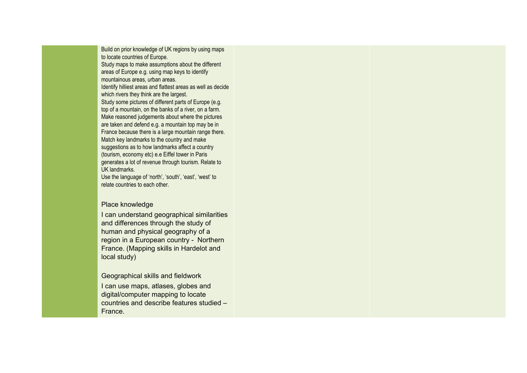Build on prior knowledge of UK regions by using maps to locate countries of Europe.

Study maps to make assumptions about the different areas of Europe e.g. using map keys to identify mountainous areas, urban areas.

Identify hilliest areas and flattest areas as well as decide which rivers they think are the largest.

Study some pictures of different parts of Europe (e.g. top of a mountain, on the banks of a river, on a farm. Make reasoned judgements about where the pictures are taken and defend e.g. a mountain top may be in France because there is a large mountain range there. Match key landmarks to the country and make suggestions as to how landmarks affect a country (tourism, economy etc) e.e Eiffel tower in Paris generates a lot of revenue through tourism. Relate to UK landmarks.

Use the language of 'north', 'south', 'east', 'west' to relate countries to each other.

### Place knowledge

I can understand geographical similarities and differences through the study of human and physical geography of a region in a European country - Northern France. (Mapping skills in Hardelot and local study)

### Geographical skills and fieldwork

I can use maps, atlases, globes and digital/computer mapping to locate countries and describe features studied – France.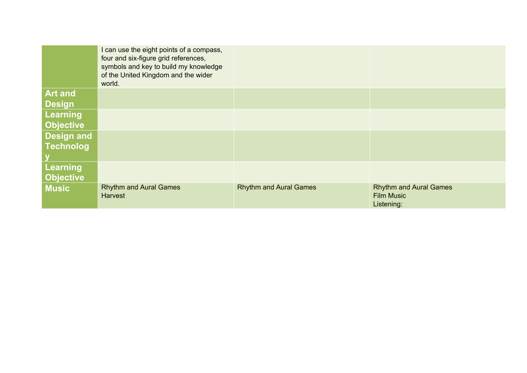|                   | I can use the eight points of a compass,<br>four and six-figure grid references,<br>symbols and key to build my knowledge<br>of the United Kingdom and the wider<br>world. |                               |                                                                  |
|-------------------|----------------------------------------------------------------------------------------------------------------------------------------------------------------------------|-------------------------------|------------------------------------------------------------------|
| <b>Art and</b>    |                                                                                                                                                                            |                               |                                                                  |
| Design            |                                                                                                                                                                            |                               |                                                                  |
| Learning          |                                                                                                                                                                            |                               |                                                                  |
| <b>Objective</b>  |                                                                                                                                                                            |                               |                                                                  |
| <b>Design and</b> |                                                                                                                                                                            |                               |                                                                  |
| <b>Technolog</b>  |                                                                                                                                                                            |                               |                                                                  |
|                   |                                                                                                                                                                            |                               |                                                                  |
| Learning          |                                                                                                                                                                            |                               |                                                                  |
| <b>Objective</b>  |                                                                                                                                                                            |                               |                                                                  |
| <b>Music</b>      | <b>Rhythm and Aural Games</b><br><b>Harvest</b>                                                                                                                            | <b>Rhythm and Aural Games</b> | <b>Rhythm and Aural Games</b><br><b>Film Music</b><br>Listening: |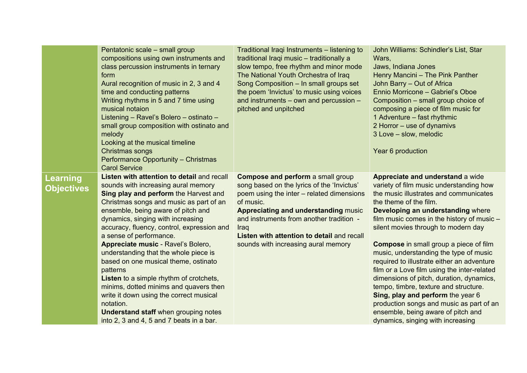|                                      | Pentatonic scale - small group<br>compositions using own instruments and<br>class percussion instruments in ternary<br>form<br>Aural recognition of music in 2, 3 and 4<br>time and conducting patterns<br>Writing rhythms in 5 and 7 time using<br>musical notaion<br>Listening - Ravel's Bolero - ostinato -<br>small group composition with ostinato and<br>melody<br>Looking at the musical timeline<br>Christmas songs<br>Performance Opportunity - Christmas                                                                                                                                                                                                                                                           | Traditional Iraqi Instruments – listening to<br>traditional Iraqi music - traditionally a<br>slow tempo, free rhythm and minor mode<br>The National Youth Orchestra of Iraq<br>Song Composition - In small groups set<br>the poem 'Invictus' to music using voices<br>and instruments - own and percussion -<br>pitched and unpitched | John Williams: Schindler's List, Star<br>Wars,<br>Jaws, Indiana Jones<br>Henry Mancini - The Pink Panther<br>John Barry - Out of Africa<br>Ennio Morricone - Gabriel's Oboe<br>Composition – small group choice of<br>composing a piece of film music for<br>1 Adventure - fast rhythmic<br>2 Horror - use of dynamivs<br>3 Love - slow, melodic<br>Year 6 production                                                                                                                                                                                                                                                                                                                                              |
|--------------------------------------|------------------------------------------------------------------------------------------------------------------------------------------------------------------------------------------------------------------------------------------------------------------------------------------------------------------------------------------------------------------------------------------------------------------------------------------------------------------------------------------------------------------------------------------------------------------------------------------------------------------------------------------------------------------------------------------------------------------------------|---------------------------------------------------------------------------------------------------------------------------------------------------------------------------------------------------------------------------------------------------------------------------------------------------------------------------------------|--------------------------------------------------------------------------------------------------------------------------------------------------------------------------------------------------------------------------------------------------------------------------------------------------------------------------------------------------------------------------------------------------------------------------------------------------------------------------------------------------------------------------------------------------------------------------------------------------------------------------------------------------------------------------------------------------------------------|
| <b>Learning</b><br><b>Objectives</b> | <b>Carol Service</b><br>Listen with attention to detail and recall<br>sounds with increasing aural memory<br>Sing play and perform the Harvest and<br>Christmas songs and music as part of an<br>ensemble, being aware of pitch and<br>dynamics, singing with increasing<br>accuracy, fluency, control, expression and<br>a sense of performance.<br>Appreciate music - Ravel's Bolero,<br>understanding that the whole piece is<br>based on one musical theme, ostinato<br>patterns<br>Listen to a simple rhythm of crotchets,<br>minims, dotted minims and quavers then<br>write it down using the correct musical<br>notation.<br><b>Understand staff when grouping notes</b><br>into 2, 3 and 4, 5 and 7 beats in a bar. | <b>Compose and perform a small group</b><br>song based on the lyrics of the 'Invictus'<br>poem using the inter - related dimensions<br>of music.<br>Appreciating and understanding music<br>and instruments from another tradition -<br>Iraq<br>Listen with attention to detail and recall<br>sounds with increasing aural memory     | Appreciate and understand a wide<br>variety of film music understanding how<br>the music illustrates and communicates<br>the theme of the film.<br>Developing an understanding where<br>film music comes in the history of music -<br>silent movies through to modern day<br><b>Compose</b> in small group a piece of film<br>music, understanding the type of music<br>required to illustrate either an adventure<br>film or a Love film using the inter-related<br>dimensions of pitch, duration, dynamics,<br>tempo, timbre, texture and structure.<br>Sing, play and perform the year 6<br>production songs and music as part of an<br>ensemble, being aware of pitch and<br>dynamics, singing with increasing |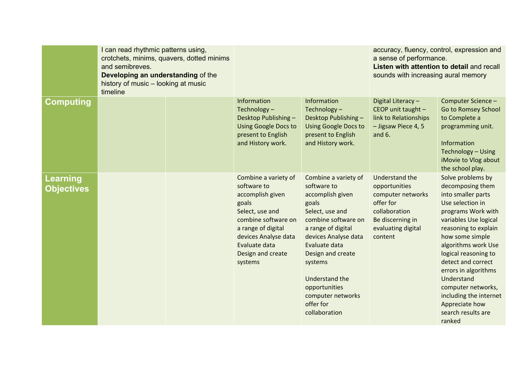|                        | I can read rhythmic patterns using,<br>crotchets, minims, quavers, dotted minims<br>and semibreves.<br>Developing an understanding of the<br>history of music - looking at music<br>timeline |  |                                                                                                                                                                                                           |                                                                                                                                                                                                                                                                                                 | accuracy, fluency, control, expression and<br>a sense of performance.<br>Listen with attention to detail and recall<br>sounds with increasing aural memory |                                                                                                                                                                                                                                                                                                                                                                                        |
|------------------------|----------------------------------------------------------------------------------------------------------------------------------------------------------------------------------------------|--|-----------------------------------------------------------------------------------------------------------------------------------------------------------------------------------------------------------|-------------------------------------------------------------------------------------------------------------------------------------------------------------------------------------------------------------------------------------------------------------------------------------------------|------------------------------------------------------------------------------------------------------------------------------------------------------------|----------------------------------------------------------------------------------------------------------------------------------------------------------------------------------------------------------------------------------------------------------------------------------------------------------------------------------------------------------------------------------------|
| Computing              |                                                                                                                                                                                              |  | Information<br>Technology-<br>Desktop Publishing -<br><b>Using Google Docs to</b><br>present to English<br>and History work.                                                                              | Information<br>Technology-<br>Desktop Publishing -<br><b>Using Google Docs to</b><br>present to English<br>and History work.                                                                                                                                                                    | Digital Literacy-<br>CEOP unit taught -<br>link to Relationships<br>- Jigsaw Piece 4, 5<br>and 6.                                                          | Computer Science -<br>Go to Romsey School<br>to Complete a<br>programming unit.<br>Information<br>Technology - Using<br>iMovie to Vlog about<br>the school play.                                                                                                                                                                                                                       |
| Learning<br>Objectives |                                                                                                                                                                                              |  | Combine a variety of<br>software to<br>accomplish given<br>goals<br>Select, use and<br>combine software on<br>a range of digital<br>devices Analyse data<br>Evaluate data<br>Design and create<br>systems | Combine a variety of<br>software to<br>accomplish given<br>goals<br>Select, use and<br>combine software on<br>a range of digital<br>devices Analyse data<br>Evaluate data<br>Design and create<br>systems<br>Understand the<br>opportunities<br>computer networks<br>offer for<br>collaboration | <b>Understand the</b><br>opportunities<br>computer networks<br>offer for<br>collaboration<br>Be discerning in<br>evaluating digital<br>content             | Solve problems by<br>decomposing them<br>into smaller parts<br>Use selection in<br>programs Work with<br>variables Use logical<br>reasoning to explain<br>how some simple<br>algorithms work Use<br>logical reasoning to<br>detect and correct<br>errors in algorithms<br>Understand<br>computer networks,<br>including the internet<br>Appreciate how<br>search results are<br>ranked |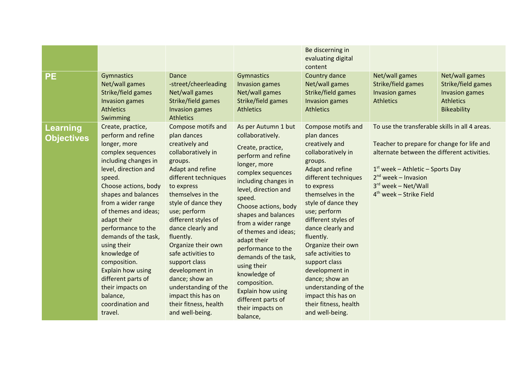| <b>PE</b>                     | Gymnastics<br>Net/wall games<br>Strike/field games<br>Invasion games<br><b>Athletics</b><br>Swimming                                                                                                                                                                                                                                                                                                                                                      | Dance<br>-street/cheerleading<br>Net/wall games<br>Strike/field games<br>Invasion games<br><b>Athletics</b>                                                                                                                                                                                                                                                                                                                                                    | Gymnastics<br>Invasion games<br>Net/wall games<br>Strike/field games<br><b>Athletics</b>                                                                                                                                                                                                                                                                                                                                                                                     | Be discerning in<br>evaluating digital<br>content<br>Country dance<br>Net/wall games<br>Strike/field games<br><b>Invasion games</b><br><b>Athletics</b>                                                                                                                                                                                                                                                                                                        | Net/wall games<br>Strike/field games<br>Invasion games<br><b>Athletics</b>                                                                                                                                                                                          | Net/wall games<br>Strike/field games<br>Invasion games<br><b>Athletics</b><br><b>Bikeability</b> |
|-------------------------------|-----------------------------------------------------------------------------------------------------------------------------------------------------------------------------------------------------------------------------------------------------------------------------------------------------------------------------------------------------------------------------------------------------------------------------------------------------------|----------------------------------------------------------------------------------------------------------------------------------------------------------------------------------------------------------------------------------------------------------------------------------------------------------------------------------------------------------------------------------------------------------------------------------------------------------------|------------------------------------------------------------------------------------------------------------------------------------------------------------------------------------------------------------------------------------------------------------------------------------------------------------------------------------------------------------------------------------------------------------------------------------------------------------------------------|----------------------------------------------------------------------------------------------------------------------------------------------------------------------------------------------------------------------------------------------------------------------------------------------------------------------------------------------------------------------------------------------------------------------------------------------------------------|---------------------------------------------------------------------------------------------------------------------------------------------------------------------------------------------------------------------------------------------------------------------|--------------------------------------------------------------------------------------------------|
| Learning<br><b>Objectives</b> | Create, practice,<br>perform and refine<br>longer, more<br>complex sequences<br>including changes in<br>level, direction and<br>speed.<br>Choose actions, body<br>shapes and balances<br>from a wider range<br>of themes and ideas;<br>adapt their<br>performance to the<br>demands of the task,<br>using their<br>knowledge of<br>composition.<br>Explain how using<br>different parts of<br>their impacts on<br>balance,<br>coordination and<br>travel. | Compose motifs and<br>plan dances<br>creatively and<br>collaboratively in<br>groups.<br>Adapt and refine<br>different techniques<br>to express<br>themselves in the<br>style of dance they<br>use; perform<br>different styles of<br>dance clearly and<br>fluently.<br>Organize their own<br>safe activities to<br>support class<br>development in<br>dance; show an<br>understanding of the<br>impact this has on<br>their fitness, health<br>and well-being. | As per Autumn 1 but<br>collaboratively.<br>Create, practice,<br>perform and refine<br>longer, more<br>complex sequences<br>including changes in<br>level, direction and<br>speed.<br>Choose actions, body<br>shapes and balances<br>from a wider range<br>of themes and ideas;<br>adapt their<br>performance to the<br>demands of the task,<br>using their<br>knowledge of<br>composition.<br><b>Explain how using</b><br>different parts of<br>their impacts on<br>balance, | Compose motifs and<br>plan dances<br>creatively and<br>collaboratively in<br>groups.<br>Adapt and refine<br>different techniques<br>to express<br>themselves in the<br>style of dance they<br>use; perform<br>different styles of<br>dance clearly and<br>fluently.<br>Organize their own<br>safe activities to<br>support class<br>development in<br>dance; show an<br>understanding of the<br>impact this has on<br>their fitness, health<br>and well-being. | To use the transferable skills in all 4 areas.<br>Teacher to prepare for change for life and<br>alternate between the different activities.<br>$1st$ week – Athletic – Sports Day<br>$2nd$ week – Invasion<br>$3^{rd}$ week – Net/Wall<br>$4th$ week – Strike Field |                                                                                                  |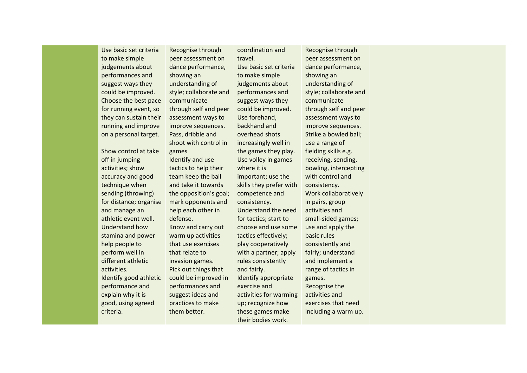Use basic set criteria to make simple judgements about performances and suggest ways they could be improved. Choose the best pace for running event, so they can sustain their running and improve on a personal target.

Show control at take off in jumping activities; show accuracy and good technique when sending (throwing) for distance; organise and manage an athletic event well. Understand how stamina and power help people to perform well in different athletic activities. Identify good athletic performance and explain why it is good, using agreed criteria.

Recognise through peer assessment on dance performance, showing an understanding of style; collaborate and communicate through self and peer assessment ways to improve sequences. Pass, dribble and shoot with control in games Identify and use tactics to help their team keep the ball and take it towards the opposition's goal; mark opponents and help each other in defense. Know and carry out warm up activities that use exercises that relate to invasion games. Pick out things that could be improved in performances and suggest ideas and practices to make them better.

coordination and travel. Use basic set criteria to make simple judgements about performances and suggest ways they could be improved. Use forehand, backhand and overhead shots increasingly well in the games they play. Use volley in games where it is important; use the skills they prefer with competence and consistency. Understand the need for tactics; start to choose and use some tactics effectively; play cooperatively with a partner; apply rules consistently and fairly. Identify appropriate exercise and activities for warming up; recognize how these games make their bodies work.

Recognise through peer assessment on dance performance, showing an understanding of style; collaborate and communicate through self and peer assessment ways to improve sequences. Strike a bowled ball; use a range of fielding skills e.g. receiving, sending, bowling, intercepting with control and consistency. Work collaboratively in pairs, group activities and small-sided games; use and apply the basic rules consistently and fairly; understand and implement a range of tactics in games. Recognise the activities and exercises that need including a warm up.